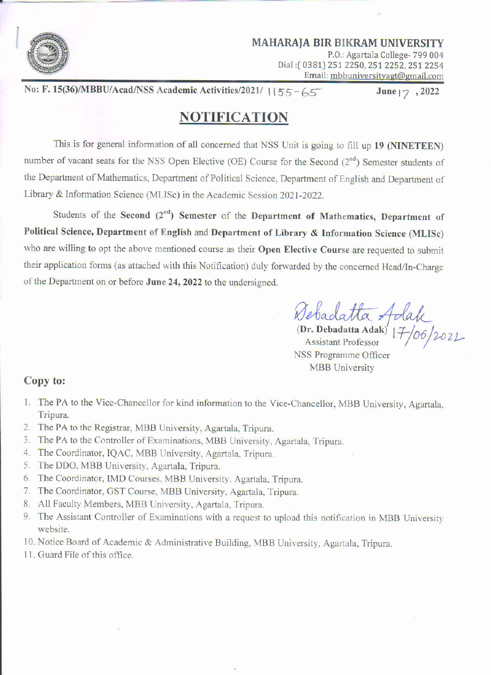

MAHARAIA BIR BIKRAM UNIVERSITY P.0.: Agartala College- 799 004» Dial: (0381) 251 2250, 251 2252, 251 2254 Email: mbbuniversityagt@gmail.com

No: F. 15(36)/MBBU/Acad/NSS Academic Activities/2021/ 1155-65 June 17, 2022

## NOTIFICATION

This is for general information of all concerned that NSS Unit is going to fill up 19 (NINETEEN) number of vacant seats for the NSS Open Elective (OE) Course for the Second (2<sup>nd</sup>) Semester students of the Department of Mathematics. Department of Political Science, Department of English and Department of Library & Information Science (MLISc) in the Academic Session 2021-2022.

Students of the Second  $(2^{nd})$  Semester of the Department of Mathematics, Department of Political Science, Department of English and Department of Library & Information Science (MLISc) who are willing to opt the above mentioned course as their Open Elective Course are requested to submit their application forms (as attached with this Notification) duly forwarded by the concerned Head/In-Charge of the Department on or before June 24, 2022 to the undersigned.

Bebadatta Adak

(Dr. Debadatta Adak)  $1 + \sqrt{2\sqrt{2}}$ Assistant Professor NSS Programme Officer MBB University

## Copy to:

- 1. The PA to the Vice-Chancellor for kind information to the Vice-Chancellor, MBB University, Agartala, Tripura.
- 2. The PA to the Registrar, MBB University, Agartala, Tripura.
- . The PA to the Controller of Examinations, MBB University. Agartala, Tripura.
- . The Coordinator, IQAC. MBB University, Agartala. Tripura.
- 5. The DDO, MBB University, Agartala, Tripura.
- 6. The Coordinator, IMD Courses, MBB University, Agartala, Tripura.
- 7. The Coordinator, GST Course, MBB University, Agartala, Tripura.
- . All Faculty Members, MBB University. Agartala, Tripura.
- 9. The Assistant Controller of Examinations with a request to upload this notification in MBB University website.
- l0. Notice Board of Academic & Administrative Building, MBB University, Agartala, Tripura.
- 11. Guard File of this office.